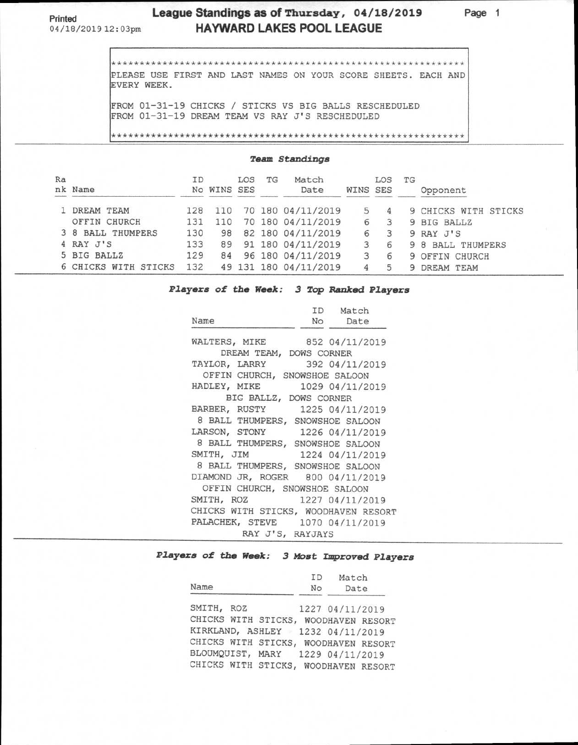## **Printed League Standings as of Thursday, 04/18/2019 Page 1**  04/18/201912:03pm **HAYWARD LAKES POOL LEAGUE**

\* \* \*\*\*\*\*\*\*\*\*\*\*\*\*\*\*\*\*\*\*\*\*\*\*\*\*\*\*\*\*\*\*\*\*\*\*\*\*\*\*\*\*\*\*\*\*\*\*\*\*\*\*\*\* \* \*\*\*\*\*\* PLEASE USE FIRST AND LAST NAMES ON YOUR SCORE SHEETS. EACH AND EVERY WEEK.

FROM 01-31-19 CHICKS / STICKS VS BIG BALLS RESCHEDULED FROM 01-31-19 DREAM TEAM VS RAY J'S RESCHEDULED

\*\*\*\*\*\* \*\*\*\*\*\*\*\* \*\*\*\*\*\* \*\*\*\*\*\*\*\* \*\*\*\*\*\*\* \*\*\*\*\*\*\* \*\*\*\*\*\*\* \*\*\*\*\*\*\* \*\*\*\*\*\*

### **Team Standings**

| Ra | nk Name              | ΙD  | No WINS SES | LOS | TG | Match<br>Date         | WINS SES | LOS | TG | Opponent             |
|----|----------------------|-----|-------------|-----|----|-----------------------|----------|-----|----|----------------------|
|    | DREAM TEAM           | 128 |             |     |    | 70 180 04/11/2019     |          |     |    | 9 CHICKS WITH STICKS |
|    | OFFIN CHURCH         | 131 |             |     |    | 70 180 04/11/2019     | 6        |     | 9  | <b>BIG BALLZ</b>     |
|    | 3 8 BALL THUMPERS    | 130 | 98          |     |    | 82 180 04/11/2019     | 6        |     |    | 9 RAY J'S            |
|    | 4 RAY J'S            | 133 | 89          |     |    | 91 180 04/11/2019     |          |     |    | 9 8 BALL THUMPERS    |
|    | 5 BIG BALLZ          | 129 | 84          |     |    | 96 180 04/11/2019     | 3        |     |    | 9 OFFIN CHURCH       |
|    | 6 CHICKS WITH STICKS | 132 |             |     |    | 49 131 180 04/11/2019 | 4        | 5   | 9  | DREAM TEAM           |

### **Players of the Week: 3 Top Ranked Players**

|                                      | ID Match        |
|--------------------------------------|-----------------|
| Name                                 | No Date         |
| WALTERS, MIKE 852 04/11/2019         |                 |
| DREAM TEAM, DOWS CORNER              |                 |
| TAYLOR, LARRY 392 04/11/2019         |                 |
| OFFIN CHURCH, SNOWSHOE SALOON        |                 |
| HADLEY, MIKE                         | 1029 04/11/2019 |
| BIG BALLZ, DOWS CORNER               |                 |
| BARBER, RUSTY 1225 04/11/2019        |                 |
| 8 BALL THUMPERS, SNOWSHOE SALOON     |                 |
| LARSON, STONY 1226 04/11/2019        |                 |
| 8 BALL THUMPERS, SNOWSHOE SALOON     |                 |
| SMITH, JIM<br>1224 04/11/2019        |                 |
| 8 BALL THUMPERS, SNOWSHOE SALOON     |                 |
| DIAMOND JR, ROGER 800 04/11/2019     |                 |
| OFFIN CHURCH, SNOWSHOE SALOON        |                 |
| 1227 04/11/2019<br>SMITH, ROZ        |                 |
| CHICKS WITH STICKS, WOODHAVEN RESORT |                 |
| PALACHEK, STEVE 1070 04/11/2019      |                 |
| RAY J'S, RAYJAYS                     |                 |

## **Players of the Week: 3 Most Improved Players**

| Name                | No | Match<br>ID<br>Date                  |
|---------------------|----|--------------------------------------|
| SMITH, ROZ          |    | 1227 04/11/2019                      |
| CHICKS WITH STICKS, |    | WOODHAVEN RESORT                     |
|                     |    | KIRKLAND, ASHLEY 1232 04/11/2019     |
|                     |    | CHICKS WITH STICKS, WOODHAVEN RESORT |
|                     |    | BLOUMQUIST, MARY 1229 04/11/2019     |
|                     |    | CHICKS WITH STICKS, WOODHAVEN RESORT |